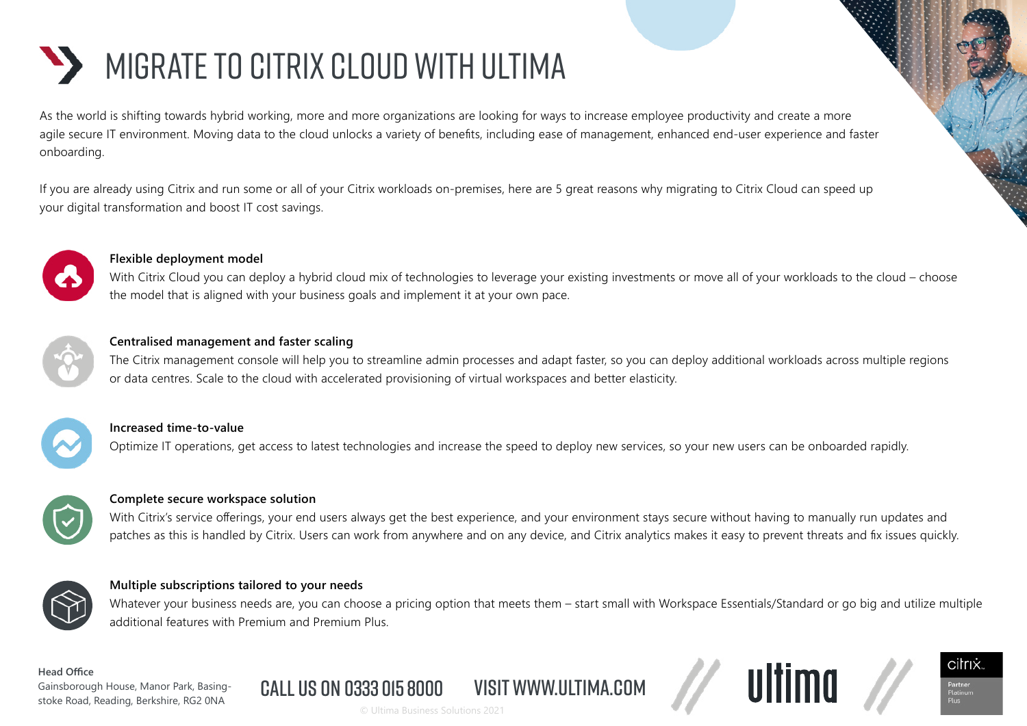# MIGRATE TO CITRIX CLOUD WITH ULTIMA

As the world is shifting towards hybrid working, more and more organizations are looking for ways to increase employee productivity and create a more agile secure IT environment. Moving data to the cloud unlocks a variety of benefits, including ease of management, enhanced end-user experience and faster onboarding.

If you are already using Citrix and run some or all of your Citrix workloads on-premises, here are 5 great reasons why migrating to Citrix Cloud can speed up your digital transformation and boost IT cost savings.



### **Flexible deployment model**

With Citrix Cloud you can deploy a hybrid cloud mix of technologies to leverage your existing investments or move all of your workloads to the cloud – choose the model that is aligned with your business goals and implement it at your own pace.



### **Centralised management and faster scaling**

The Citrix management console will help you to streamline admin processes and adapt faster, so you can deploy additional workloads across multiple regions or data centres. Scale to the cloud with accelerated provisioning of virtual workspaces and better elasticity.



#### **Increased time-to-value**

Optimize IT operations, get access to latest technologies and increase the speed to deploy new services, so your new users can be onboarded rapidly.



#### **Complete secure workspace solution**

With Citrix's service offerings, your end users always get the best experience, and your environment stays secure without having to manually run updates and patches as this is handled by Citrix. Users can work from anywhere and on any device, and Citrix analytics makes it easy to prevent threats and fix issues quickly.



#### **Multiple subscriptions tailored to your needs**

Whatever your business needs are, you can choose a pricing option that meets them – start small with Workspace Essentials/Standard or go big and utilize multiple additional features with Premium and Premium Plus.

citrix

#### **Head Office**

Gainsborough House, Manor Park, Basingstoke Road, Reading, Berkshire, RG2 0NA © Ultima Business Solutions 2021

Call us on 0333 015 8000 visit www.ultima.com